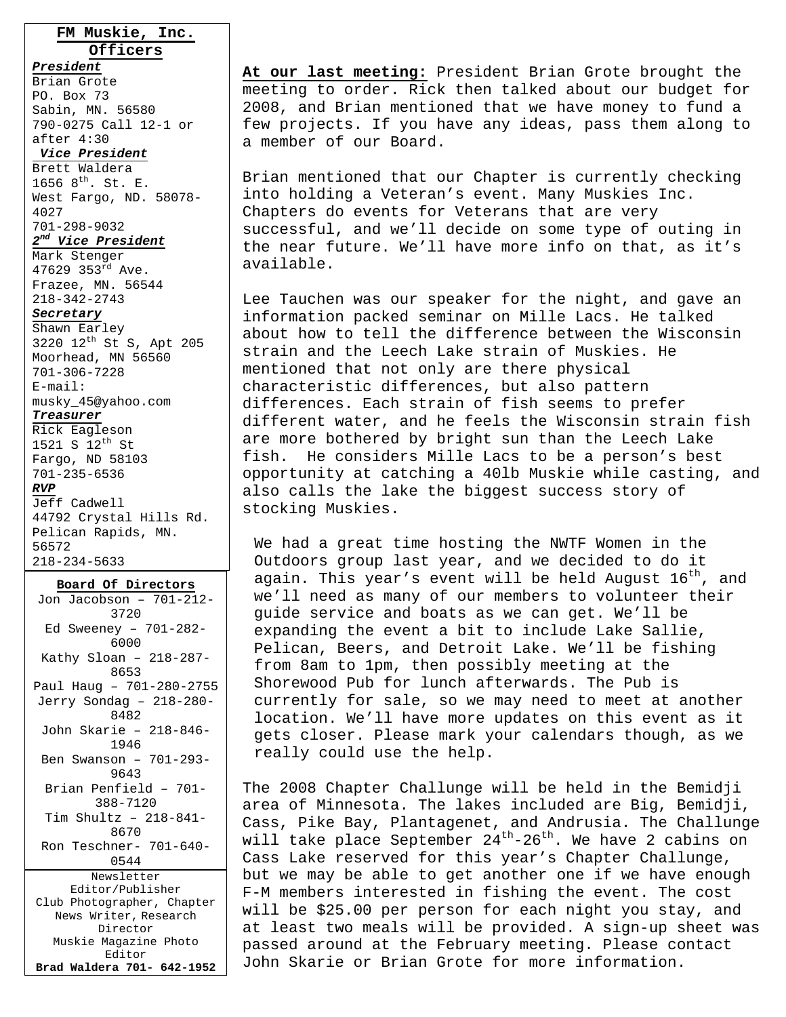### **FM Muskie, Inc. Officers**

*President* Brian Grote PO. Box 73 Sabin, MN. 56580 790-0275 Call 12-1 or after 4:30

### *Vice President*

Brett Waldera 1656  $8^{th}$ . St. E. West Fargo, ND. 58078- 4027 701-298-9032 *2nd Vice President*

Mark Stenger 47629 353rd Ave. Frazee, MN. 56544 218-342-2743

### *Secretary*

Shawn Earley 3220 12th St S, Apt 205 Moorhead, MN 56560 701-306-7228 E-mail: musky\_45@yahoo.com

#### *Treasurer*

Rick Eagleson 1521 S 12th St Fargo, ND 58103 701-235-6536 *RVP* Jeff Cadwell 44792 Crystal Hills Rd. Pelican Rapids, MN. 56572

218-234-5633

**Board Of Directors** Jon Jacobson – 701-212- 3720 Ed Sweeney – 701-282- 6000 Kathy Sloan – 218-287- 8653 Paul Haug – 701-280-2755 Jerry Sondag – 218-280- 8482 John Skarie – 218-846- 1946 Ben Swanson – 701-293- 9643 Brian Penfield – 701- 388-7120 Tim Shultz – 218-841- 8670 Ron Teschner- 701-640- 0544 Newsletter Editor/Publisher Club Photographer, Chapter News Writer, Research Director Muskie Magazine Photo Editor **Brad Waldera 701- 642-1952** 

**At our last meeting:** President Brian Grote brought the meeting to order. Rick then talked about our budget for 2008, and Brian mentioned that we have money to fund a few projects. If you have any ideas, pass them along to a member of our Board.

Brian mentioned that our Chapter is currently checking into holding a Veteran's event. Many Muskies Inc. Chapters do events for Veterans that are very successful, and we'll decide on some type of outing in the near future. We'll have more info on that, as it's available.

Lee Tauchen was our speaker for the night, and gave an information packed seminar on Mille Lacs. He talked about how to tell the difference between the Wisconsin strain and the Leech Lake strain of Muskies. He mentioned that not only are there physical characteristic differences, but also pattern differences. Each strain of fish seems to prefer different water, and he feels the Wisconsin strain fish are more bothered by bright sun than the Leech Lake fish. He considers Mille Lacs to be a person's best opportunity at catching a 40lb Muskie while casting, and also calls the lake the biggest success story of stocking Muskies.

We had a great time hosting the NWTF Women in the Outdoors group last year, and we decided to do it again. This year's event will be held August  $16^{th}$ , and we'll need as many of our members to volunteer their guide service and boats as we can get. We'll be expanding the event a bit to include Lake Sallie, Pelican, Beers, and Detroit Lake. We'll be fishing from 8am to 1pm, then possibly meeting at the Shorewood Pub for lunch afterwards. The Pub is currently for sale, so we may need to meet at another location. We'll have more updates on this event as it gets closer. Please mark your calendars though, as we really could use the help.

The 2008 Chapter Challunge will be held in the Bemidji area of Minnesota. The lakes included are Big, Bemidji, Cass, Pike Bay, Plantagenet, and Andrusia. The Challunge will take place September  $24^{th} - 26^{th}$ . We have 2 cabins on Cass Lake reserved for this year's Chapter Challunge, but we may be able to get another one if we have enough F-M members interested in fishing the event. The cost will be \$25.00 per person for each night you stay, and at least two meals will be provided. A sign-up sheet was passed around at the February meeting. Please contact John Skarie or Brian Grote for more information.